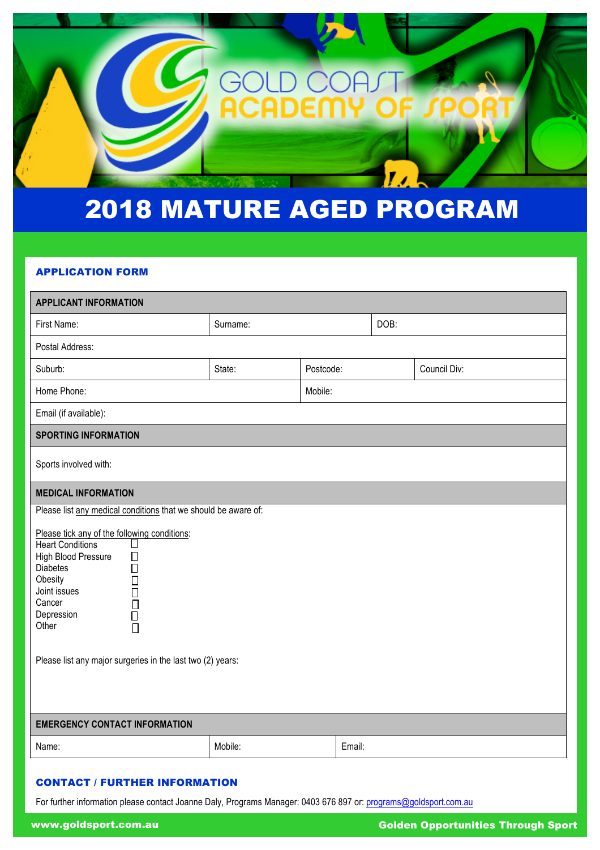

# 2018 MATURE AGED PROGRAM

#### APPLICATION FORM

| <b>APPLICANT INFORMATION</b>                                                                                                                                                                                                                                                                             |                     |         |      |              |
|----------------------------------------------------------------------------------------------------------------------------------------------------------------------------------------------------------------------------------------------------------------------------------------------------------|---------------------|---------|------|--------------|
| First Name:                                                                                                                                                                                                                                                                                              | Surname:            |         | DOB: |              |
| Postal Address:                                                                                                                                                                                                                                                                                          |                     |         |      |              |
| Suburb:                                                                                                                                                                                                                                                                                                  | State:<br>Postcode: |         |      | Council Div: |
| Home Phone:                                                                                                                                                                                                                                                                                              |                     | Mobile: |      |              |
| Email (if available):                                                                                                                                                                                                                                                                                    |                     |         |      |              |
| <b>SPORTING INFORMATION</b>                                                                                                                                                                                                                                                                              |                     |         |      |              |
| Sports involved with:                                                                                                                                                                                                                                                                                    |                     |         |      |              |
| <b>MEDICAL INFORMATION</b>                                                                                                                                                                                                                                                                               |                     |         |      |              |
| Please list any medical conditions that we should be aware of:                                                                                                                                                                                                                                           |                     |         |      |              |
| Please tick any of the following conditions:<br><b>Heart Conditions</b><br>$\mathsf{L}$<br>High Blood Pressure<br>□<br><b>Diabetes</b><br>П<br>Obesity<br>П<br>Joint issues<br>П<br>Cancer<br>$\Box$<br>Ō<br>Depression<br>Other<br>$\Box$<br>Please list any major surgeries in the last two (2) years: |                     |         |      |              |
| <b>EMERGENCY CONTACT INFORMATION</b>                                                                                                                                                                                                                                                                     |                     |         |      |              |
| Name:                                                                                                                                                                                                                                                                                                    | Mobile:             | Email:  |      |              |

#### CONTACT / FURTHER INFORMATION

For further information please contact Joanne Daly, Programs Manager: 0403 676 897 or: programs@goldsport.com.au